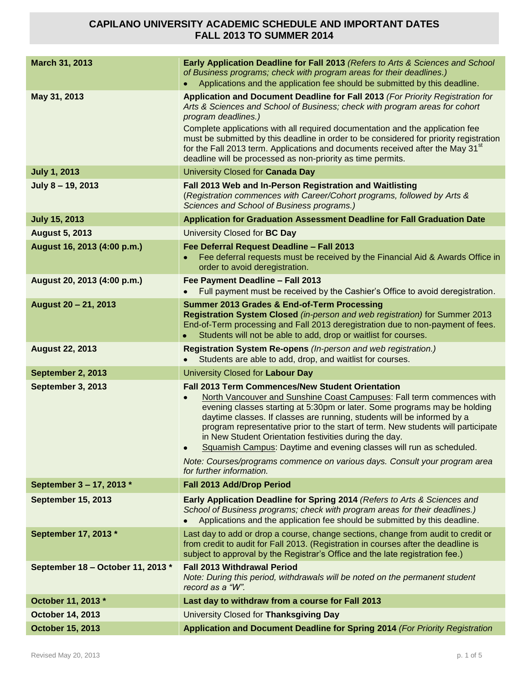| March 31, 2013                    | Early Application Deadline for Fall 2013 (Refers to Arts & Sciences and School<br>of Business programs; check with program areas for their deadlines.)<br>Applications and the application fee should be submitted by this deadline.                                                                                                                                                                                                                                                                                                                                                                                                 |
|-----------------------------------|--------------------------------------------------------------------------------------------------------------------------------------------------------------------------------------------------------------------------------------------------------------------------------------------------------------------------------------------------------------------------------------------------------------------------------------------------------------------------------------------------------------------------------------------------------------------------------------------------------------------------------------|
| May 31, 2013                      | Application and Document Deadline for Fall 2013 (For Priority Registration for<br>Arts & Sciences and School of Business; check with program areas for cohort<br>program deadlines.)<br>Complete applications with all required documentation and the application fee<br>must be submitted by this deadline in order to be considered for priority registration<br>for the Fall 2013 term. Applications and documents received after the May 31 <sup>st</sup><br>deadline will be processed as non-priority as time permits.                                                                                                         |
| <b>July 1, 2013</b>               | University Closed for Canada Day                                                                                                                                                                                                                                                                                                                                                                                                                                                                                                                                                                                                     |
| July 8 - 19, 2013                 | Fall 2013 Web and In-Person Registration and Waitlisting<br>(Registration commences with Career/Cohort programs, followed by Arts &<br>Sciences and School of Business programs.)                                                                                                                                                                                                                                                                                                                                                                                                                                                    |
| <b>July 15, 2013</b>              | <b>Application for Graduation Assessment Deadline for Fall Graduation Date</b>                                                                                                                                                                                                                                                                                                                                                                                                                                                                                                                                                       |
| <b>August 5, 2013</b>             | University Closed for BC Day                                                                                                                                                                                                                                                                                                                                                                                                                                                                                                                                                                                                         |
| August 16, 2013 (4:00 p.m.)       | Fee Deferral Request Deadline - Fall 2013<br>Fee deferral requests must be received by the Financial Aid & Awards Office in<br>order to avoid deregistration.                                                                                                                                                                                                                                                                                                                                                                                                                                                                        |
| August 20, 2013 (4:00 p.m.)       | Fee Payment Deadline - Fall 2013<br>Full payment must be received by the Cashier's Office to avoid deregistration.                                                                                                                                                                                                                                                                                                                                                                                                                                                                                                                   |
| August 20 - 21, 2013              | <b>Summer 2013 Grades &amp; End-of-Term Processing</b><br>Registration System Closed (in-person and web registration) for Summer 2013<br>End-of-Term processing and Fall 2013 deregistration due to non-payment of fees.<br>Students will not be able to add, drop or waitlist for courses.                                                                                                                                                                                                                                                                                                                                          |
| <b>August 22, 2013</b>            | Registration System Re-opens (In-person and web registration.)<br>Students are able to add, drop, and waitlist for courses.                                                                                                                                                                                                                                                                                                                                                                                                                                                                                                          |
| September 2, 2013                 | University Closed for Labour Day                                                                                                                                                                                                                                                                                                                                                                                                                                                                                                                                                                                                     |
| September 3, 2013                 | <b>Fall 2013 Term Commences/New Student Orientation</b><br>North Vancouver and Sunshine Coast Campuses: Fall term commences with<br>evening classes starting at 5:30pm or later. Some programs may be holding<br>daytime classes. If classes are running, students will be informed by a<br>program representative prior to the start of term. New students will participate<br>in New Student Orientation festivities during the day.<br>Squamish Campus: Daytime and evening classes will run as scheduled.<br>$\bullet$<br>Note: Courses/programs commence on various days. Consult your program area<br>for further information. |
| September 3 - 17, 2013 *          | Fall 2013 Add/Drop Period                                                                                                                                                                                                                                                                                                                                                                                                                                                                                                                                                                                                            |
| <b>September 15, 2013</b>         | Early Application Deadline for Spring 2014 (Refers to Arts & Sciences and<br>School of Business programs; check with program areas for their deadlines.)<br>Applications and the application fee should be submitted by this deadline.                                                                                                                                                                                                                                                                                                                                                                                               |
| September 17, 2013 *              | Last day to add or drop a course, change sections, change from audit to credit or<br>from credit to audit for Fall 2013. (Registration in courses after the deadline is<br>subject to approval by the Registrar's Office and the late registration fee.)                                                                                                                                                                                                                                                                                                                                                                             |
| September 18 - October 11, 2013 * | <b>Fall 2013 Withdrawal Period</b><br>Note: During this period, withdrawals will be noted on the permanent student<br>record as a "W".                                                                                                                                                                                                                                                                                                                                                                                                                                                                                               |
| October 11, 2013 *                | Last day to withdraw from a course for Fall 2013                                                                                                                                                                                                                                                                                                                                                                                                                                                                                                                                                                                     |
| <b>October 14, 2013</b>           |                                                                                                                                                                                                                                                                                                                                                                                                                                                                                                                                                                                                                                      |
|                                   | University Closed for Thanksgiving Day                                                                                                                                                                                                                                                                                                                                                                                                                                                                                                                                                                                               |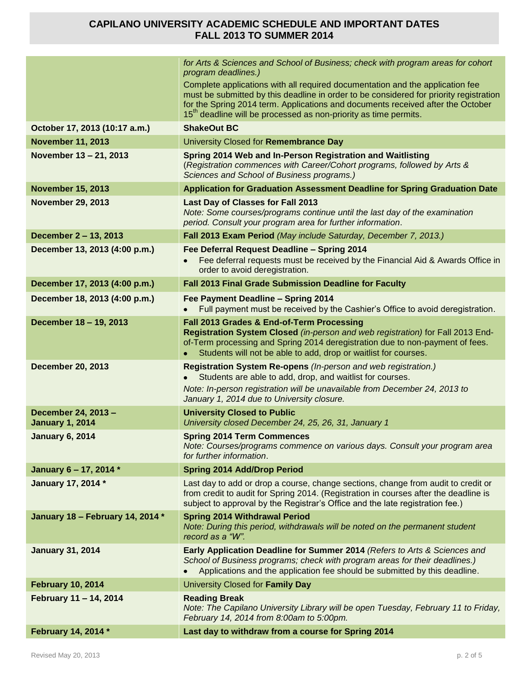|                                               | for Arts & Sciences and School of Business; check with program areas for cohort<br>program deadlines.)<br>Complete applications with all required documentation and the application fee<br>must be submitted by this deadline in order to be considered for priority registration<br>for the Spring 2014 term. Applications and documents received after the October<br>15 <sup>th</sup> deadline will be processed as non-priority as time permits. |
|-----------------------------------------------|------------------------------------------------------------------------------------------------------------------------------------------------------------------------------------------------------------------------------------------------------------------------------------------------------------------------------------------------------------------------------------------------------------------------------------------------------|
| October 17, 2013 (10:17 a.m.)                 | <b>ShakeOut BC</b>                                                                                                                                                                                                                                                                                                                                                                                                                                   |
| <b>November 11, 2013</b>                      | University Closed for Remembrance Day                                                                                                                                                                                                                                                                                                                                                                                                                |
| November 13 - 21, 2013                        | Spring 2014 Web and In-Person Registration and Waitlisting<br>(Registration commences with Career/Cohort programs, followed by Arts &<br>Sciences and School of Business programs.)                                                                                                                                                                                                                                                                  |
| <b>November 15, 2013</b>                      | Application for Graduation Assessment Deadline for Spring Graduation Date                                                                                                                                                                                                                                                                                                                                                                            |
| <b>November 29, 2013</b>                      | Last Day of Classes for Fall 2013<br>Note: Some courses/programs continue until the last day of the examination<br>period. Consult your program area for further information.                                                                                                                                                                                                                                                                        |
| December 2 - 13, 2013                         | Fall 2013 Exam Period (May include Saturday, December 7, 2013.)                                                                                                                                                                                                                                                                                                                                                                                      |
| December 13, 2013 (4:00 p.m.)                 | Fee Deferral Request Deadline - Spring 2014<br>Fee deferral requests must be received by the Financial Aid & Awards Office in<br>order to avoid deregistration.                                                                                                                                                                                                                                                                                      |
| December 17, 2013 (4:00 p.m.)                 | Fall 2013 Final Grade Submission Deadline for Faculty                                                                                                                                                                                                                                                                                                                                                                                                |
| December 18, 2013 (4:00 p.m.)                 | Fee Payment Deadline - Spring 2014<br>Full payment must be received by the Cashier's Office to avoid deregistration.                                                                                                                                                                                                                                                                                                                                 |
| December 18 - 19, 2013                        | Fall 2013 Grades & End-of-Term Processing<br>Registration System Closed (in-person and web registration) for Fall 2013 End-<br>of-Term processing and Spring 2014 deregistration due to non-payment of fees.<br>Students will not be able to add, drop or waitlist for courses.                                                                                                                                                                      |
| <b>December 20, 2013</b>                      | Registration System Re-opens (In-person and web registration.)<br>Students are able to add, drop, and waitlist for courses.<br>Note: In-person registration will be unavailable from December 24, 2013 to<br>January 1, 2014 due to University closure.                                                                                                                                                                                              |
| December 24, 2013 -<br><b>January 1, 2014</b> | <b>University Closed to Public</b><br>University closed December 24, 25, 26, 31, January 1                                                                                                                                                                                                                                                                                                                                                           |
| <b>January 6, 2014</b>                        | <b>Spring 2014 Term Commences</b><br>Note: Courses/programs commence on various days. Consult your program area<br>for further information.                                                                                                                                                                                                                                                                                                          |
| January 6 - 17, 2014 *                        | <b>Spring 2014 Add/Drop Period</b>                                                                                                                                                                                                                                                                                                                                                                                                                   |
| January 17, 2014 *                            | Last day to add or drop a course, change sections, change from audit to credit or<br>from credit to audit for Spring 2014. (Registration in courses after the deadline is<br>subject to approval by the Registrar's Office and the late registration fee.)                                                                                                                                                                                           |
| January 18 - February 14, 2014 *              | <b>Spring 2014 Withdrawal Period</b><br>Note: During this period, withdrawals will be noted on the permanent student<br>record as a "W".                                                                                                                                                                                                                                                                                                             |
| <b>January 31, 2014</b>                       | Early Application Deadline for Summer 2014 (Refers to Arts & Sciences and<br>School of Business programs; check with program areas for their deadlines.)<br>Applications and the application fee should be submitted by this deadline.                                                                                                                                                                                                               |
| <b>February 10, 2014</b>                      | University Closed for Family Day                                                                                                                                                                                                                                                                                                                                                                                                                     |
| February 11 - 14, 2014                        | <b>Reading Break</b><br>Note: The Capilano University Library will be open Tuesday, February 11 to Friday,<br>February 14, 2014 from 8:00am to 5:00pm.                                                                                                                                                                                                                                                                                               |
| February 14, 2014 *                           | Last day to withdraw from a course for Spring 2014                                                                                                                                                                                                                                                                                                                                                                                                   |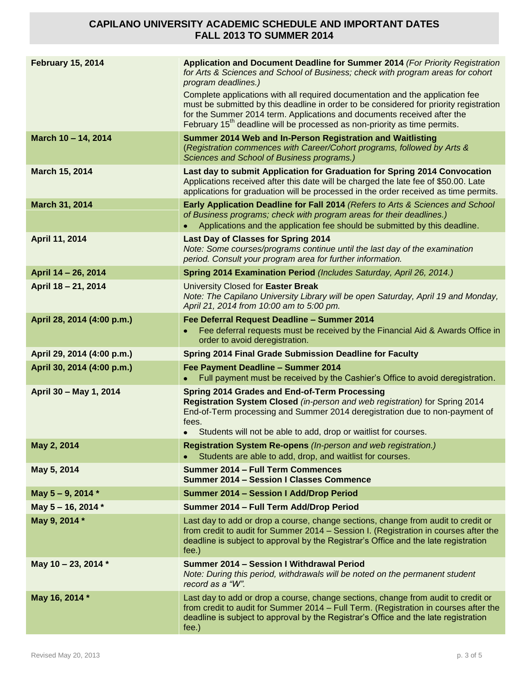| <b>February 15, 2014</b>   | Application and Document Deadline for Summer 2014 (For Priority Registration<br>for Arts & Sciences and School of Business; check with program areas for cohort<br>program deadlines.)<br>Complete applications with all required documentation and the application fee<br>must be submitted by this deadline in order to be considered for priority registration<br>for the Summer 2014 term. Applications and documents received after the<br>February 15 <sup>th</sup> deadline will be processed as non-priority as time permits. |
|----------------------------|---------------------------------------------------------------------------------------------------------------------------------------------------------------------------------------------------------------------------------------------------------------------------------------------------------------------------------------------------------------------------------------------------------------------------------------------------------------------------------------------------------------------------------------|
| March 10 - 14, 2014        | Summer 2014 Web and In-Person Registration and Waitlisting<br>(Registration commences with Career/Cohort programs, followed by Arts &<br>Sciences and School of Business programs.)                                                                                                                                                                                                                                                                                                                                                   |
| March 15, 2014             | Last day to submit Application for Graduation for Spring 2014 Convocation<br>Applications received after this date will be charged the late fee of \$50.00. Late<br>applications for graduation will be processed in the order received as time permits.                                                                                                                                                                                                                                                                              |
| March 31, 2014             | Early Application Deadline for Fall 2014 (Refers to Arts & Sciences and School<br>of Business programs; check with program areas for their deadlines.)<br>Applications and the application fee should be submitted by this deadline.                                                                                                                                                                                                                                                                                                  |
| April 11, 2014             | <b>Last Day of Classes for Spring 2014</b><br>Note: Some courses/programs continue until the last day of the examination<br>period. Consult your program area for further information.                                                                                                                                                                                                                                                                                                                                                |
| April 14 - 26, 2014        | Spring 2014 Examination Period (Includes Saturday, April 26, 2014.)                                                                                                                                                                                                                                                                                                                                                                                                                                                                   |
| April 18 - 21, 2014        | University Closed for Easter Break<br>Note: The Capilano University Library will be open Saturday, April 19 and Monday,<br>April 21, 2014 from 10:00 am to 5:00 pm.                                                                                                                                                                                                                                                                                                                                                                   |
| April 28, 2014 (4:00 p.m.) | Fee Deferral Request Deadline - Summer 2014<br>Fee deferral requests must be received by the Financial Aid & Awards Office in<br>order to avoid deregistration.                                                                                                                                                                                                                                                                                                                                                                       |
| April 29, 2014 (4:00 p.m.) | <b>Spring 2014 Final Grade Submission Deadline for Faculty</b>                                                                                                                                                                                                                                                                                                                                                                                                                                                                        |
| April 30, 2014 (4:00 p.m.) | Fee Payment Deadline - Summer 2014<br>Full payment must be received by the Cashier's Office to avoid deregistration.                                                                                                                                                                                                                                                                                                                                                                                                                  |
| April 30 - May 1, 2014     | <b>Spring 2014 Grades and End-of-Term Processing</b><br>Registration System Closed (in-person and web registration) for Spring 2014<br>End-of-Term processing and Summer 2014 deregistration due to non-payment of<br>fees.<br>Students will not be able to add, drop or waitlist for courses.                                                                                                                                                                                                                                        |
| May 2, 2014                | Registration System Re-opens (In-person and web registration.)<br>Students are able to add, drop, and waitlist for courses.                                                                                                                                                                                                                                                                                                                                                                                                           |
| May 5, 2014                | <b>Summer 2014 - Full Term Commences</b><br><b>Summer 2014 - Session I Classes Commence</b>                                                                                                                                                                                                                                                                                                                                                                                                                                           |
| May 5-9, 2014 *            | <b>Summer 2014 - Session I Add/Drop Period</b>                                                                                                                                                                                                                                                                                                                                                                                                                                                                                        |
| May 5 - 16, 2014 *         | Summer 2014 - Full Term Add/Drop Period                                                                                                                                                                                                                                                                                                                                                                                                                                                                                               |
| May 9, 2014 *              | Last day to add or drop a course, change sections, change from audit to credit or<br>from credit to audit for Summer 2014 - Session I. (Registration in courses after the<br>deadline is subject to approval by the Registrar's Office and the late registration<br>fee.)                                                                                                                                                                                                                                                             |
| May 10 - 23, 2014 *        | Summer 2014 - Session I Withdrawal Period<br>Note: During this period, withdrawals will be noted on the permanent student<br>record as a "W".                                                                                                                                                                                                                                                                                                                                                                                         |
| May 16, 2014 *             | Last day to add or drop a course, change sections, change from audit to credit or<br>from credit to audit for Summer 2014 - Full Term. (Registration in courses after the<br>deadline is subject to approval by the Registrar's Office and the late registration<br>fee.)                                                                                                                                                                                                                                                             |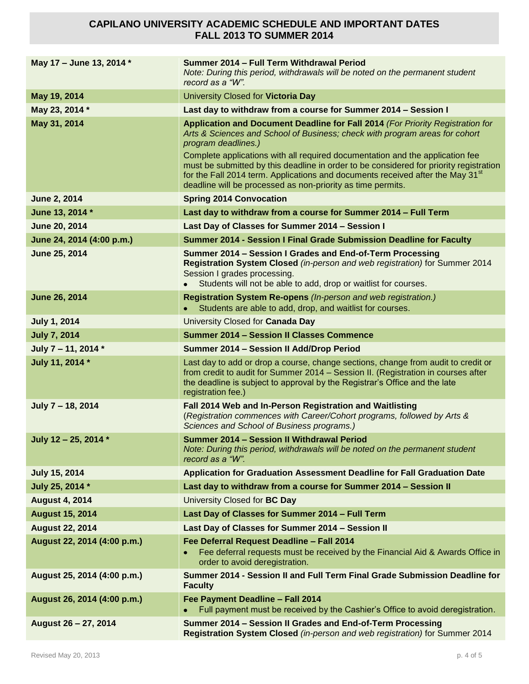| May 17 - June 13, 2014 *    | Summer 2014 - Full Term Withdrawal Period<br>Note: During this period, withdrawals will be noted on the permanent student<br>record as a "W".                                                                                                                                                                                                                                                                                                                                                                                |
|-----------------------------|------------------------------------------------------------------------------------------------------------------------------------------------------------------------------------------------------------------------------------------------------------------------------------------------------------------------------------------------------------------------------------------------------------------------------------------------------------------------------------------------------------------------------|
| May 19, 2014                | University Closed for Victoria Day                                                                                                                                                                                                                                                                                                                                                                                                                                                                                           |
| May 23, 2014 *              | Last day to withdraw from a course for Summer 2014 - Session I                                                                                                                                                                                                                                                                                                                                                                                                                                                               |
| May 31, 2014                | Application and Document Deadline for Fall 2014 (For Priority Registration for<br>Arts & Sciences and School of Business; check with program areas for cohort<br>program deadlines.)<br>Complete applications with all required documentation and the application fee<br>must be submitted by this deadline in order to be considered for priority registration<br>for the Fall 2014 term. Applications and documents received after the May 31 <sup>st</sup><br>deadline will be processed as non-priority as time permits. |
| <b>June 2, 2014</b>         | <b>Spring 2014 Convocation</b>                                                                                                                                                                                                                                                                                                                                                                                                                                                                                               |
| June 13, 2014 *             | Last day to withdraw from a course for Summer 2014 - Full Term                                                                                                                                                                                                                                                                                                                                                                                                                                                               |
| June 20, 2014               | Last Day of Classes for Summer 2014 - Session I                                                                                                                                                                                                                                                                                                                                                                                                                                                                              |
| June 24, 2014 (4:00 p.m.)   | Summer 2014 - Session I Final Grade Submission Deadline for Faculty                                                                                                                                                                                                                                                                                                                                                                                                                                                          |
| June 25, 2014               | Summer 2014 - Session I Grades and End-of-Term Processing<br>Registration System Closed (in-person and web registration) for Summer 2014<br>Session I grades processing.<br>Students will not be able to add, drop or waitlist for courses.                                                                                                                                                                                                                                                                                  |
| <b>June 26, 2014</b>        | Registration System Re-opens (In-person and web registration.)<br>Students are able to add, drop, and waitlist for courses.                                                                                                                                                                                                                                                                                                                                                                                                  |
| <b>July 1, 2014</b>         | University Closed for Canada Day                                                                                                                                                                                                                                                                                                                                                                                                                                                                                             |
| <b>July 7, 2014</b>         | <b>Summer 2014 - Session II Classes Commence</b>                                                                                                                                                                                                                                                                                                                                                                                                                                                                             |
| July 7 - 11, 2014 *         | Summer 2014 - Session II Add/Drop Period                                                                                                                                                                                                                                                                                                                                                                                                                                                                                     |
| July 11, 2014 *             | Last day to add or drop a course, change sections, change from audit to credit or<br>from credit to audit for Summer 2014 - Session II. (Registration in courses after<br>the deadline is subject to approval by the Registrar's Office and the late<br>registration fee.)                                                                                                                                                                                                                                                   |
| July 7 - 18, 2014           | Fall 2014 Web and In-Person Registration and Waitlisting<br>(Registration commences with Career/Cohort programs, followed by Arts &<br>Sciences and School of Business programs.)                                                                                                                                                                                                                                                                                                                                            |
| July 12 - 25, 2014 *        | Summer 2014 - Session II Withdrawal Period<br>Note: During this period, withdrawals will be noted on the permanent student<br>record as a "W".                                                                                                                                                                                                                                                                                                                                                                               |
| <b>July 15, 2014</b>        | Application for Graduation Assessment Deadline for Fall Graduation Date                                                                                                                                                                                                                                                                                                                                                                                                                                                      |
| July 25, 2014 *             | Last day to withdraw from a course for Summer 2014 - Session II                                                                                                                                                                                                                                                                                                                                                                                                                                                              |
| <b>August 4, 2014</b>       | University Closed for BC Day                                                                                                                                                                                                                                                                                                                                                                                                                                                                                                 |
| <b>August 15, 2014</b>      | Last Day of Classes for Summer 2014 - Full Term                                                                                                                                                                                                                                                                                                                                                                                                                                                                              |
| <b>August 22, 2014</b>      | Last Day of Classes for Summer 2014 - Session II                                                                                                                                                                                                                                                                                                                                                                                                                                                                             |
| August 22, 2014 (4:00 p.m.) | Fee Deferral Request Deadline - Fall 2014<br>Fee deferral requests must be received by the Financial Aid & Awards Office in<br>order to avoid deregistration.                                                                                                                                                                                                                                                                                                                                                                |
| August 25, 2014 (4:00 p.m.) | Summer 2014 - Session II and Full Term Final Grade Submission Deadline for<br><b>Faculty</b>                                                                                                                                                                                                                                                                                                                                                                                                                                 |
| August 26, 2014 (4:00 p.m.) | Fee Payment Deadline - Fall 2014<br>Full payment must be received by the Cashier's Office to avoid deregistration.                                                                                                                                                                                                                                                                                                                                                                                                           |
| August 26 - 27, 2014        | Summer 2014 - Session II Grades and End-of-Term Processing<br>Registration System Closed (in-person and web registration) for Summer 2014                                                                                                                                                                                                                                                                                                                                                                                    |